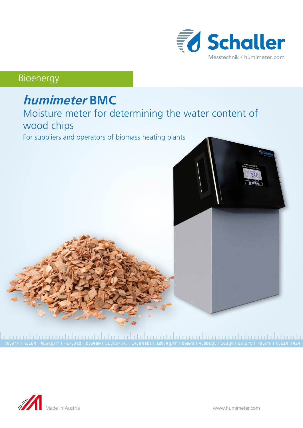

## Bioenergy

# **humimeter BMC**

## Moisture meter for determining the water content of wood chips

For suppliers and operators of biomass heating plants



|<br>78,0 °F | 6,16%| 456kg/m3| -27,3td| 0,64aw| 51,9‰.H. | 14,8%abs| 100,4g/m²| 09m/s| 4,90Ugl| 163ym| 23,2 °C| 78,8°F| 6,21% |424<br>78,0 °F | 6,16%| 456kg/m3| −27,3td| 0,64aw| 51,9‰.H. | 14,8%abs| 100,4g/m²| 09m/s| 4,90Ugl|